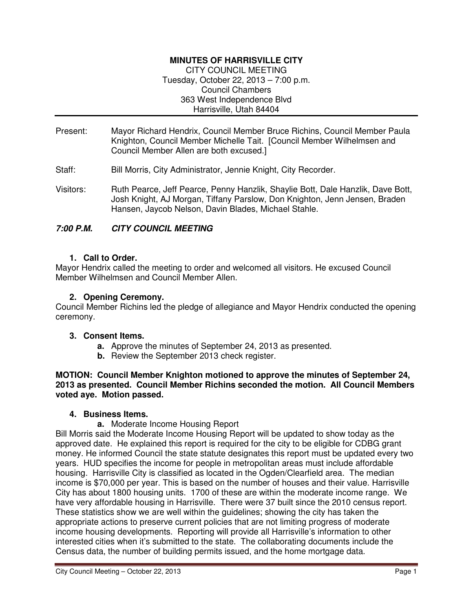## **MINUTES OF HARRISVILLE CITY**

CITY COUNCIL MEETING Tuesday, October 22, 2013 – 7:00 p.m. Council Chambers 363 West Independence Blvd Harrisville, Utah 84404

- Present: Mayor Richard Hendrix, Council Member Bruce Richins, Council Member Paula Knighton, Council Member Michelle Tait. [Council Member Wilhelmsen and Council Member Allen are both excused.]
- Staff: Bill Morris, City Administrator, Jennie Knight, City Recorder.
- Visitors: Ruth Pearce, Jeff Pearce, Penny Hanzlik, Shaylie Bott, Dale Hanzlik, Dave Bott, Josh Knight, AJ Morgan, Tiffany Parslow, Don Knighton, Jenn Jensen, Braden Hansen, Jaycob Nelson, Davin Blades, Michael Stahle.

### **7:00 P.M. CITY COUNCIL MEETING**

#### **1. Call to Order.**

Mayor Hendrix called the meeting to order and welcomed all visitors. He excused Council Member Wilhelmsen and Council Member Allen.

#### **2. Opening Ceremony.**

Council Member Richins led the pledge of allegiance and Mayor Hendrix conducted the opening ceremony.

#### **3. Consent Items.**

- **a.** Approve the minutes of September 24, 2013 as presented.
- **b.** Review the September 2013 check register.

**MOTION: Council Member Knighton motioned to approve the minutes of September 24, 2013 as presented. Council Member Richins seconded the motion. All Council Members voted aye. Motion passed.** 

#### **4. Business Items.**

**a.** Moderate Income Housing Report

Bill Morris said the Moderate Income Housing Report will be updated to show today as the approved date. He explained this report is required for the city to be eligible for CDBG grant money. He informed Council the state statute designates this report must be updated every two years. HUD specifies the income for people in metropolitan areas must include affordable housing. Harrisville City is classified as located in the Ogden/Clearfield area. The median income is \$70,000 per year. This is based on the number of houses and their value. Harrisville City has about 1800 housing units. 1700 of these are within the moderate income range. We have very affordable housing in Harrisville. There were 37 built since the 2010 census report. These statistics show we are well within the guidelines; showing the city has taken the appropriate actions to preserve current policies that are not limiting progress of moderate income housing developments. Reporting will provide all Harrisville's information to other interested cities when it's submitted to the state. The collaborating documents include the Census data, the number of building permits issued, and the home mortgage data.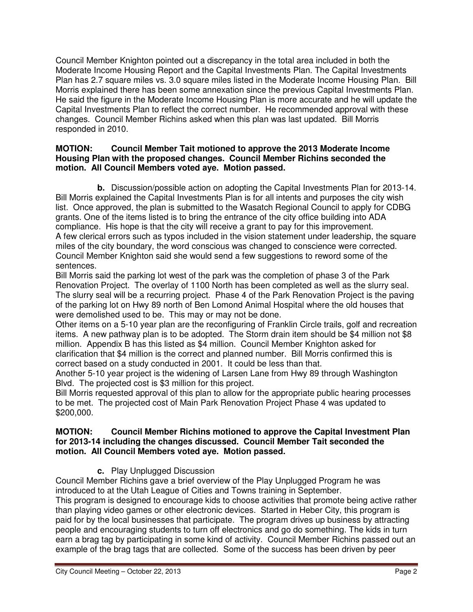Council Member Knighton pointed out a discrepancy in the total area included in both the Moderate Income Housing Report and the Capital Investments Plan. The Capital Investments Plan has 2.7 square miles vs. 3.0 square miles listed in the Moderate Income Housing Plan. Bill Morris explained there has been some annexation since the previous Capital Investments Plan. He said the figure in the Moderate Income Housing Plan is more accurate and he will update the Capital Investments Plan to reflect the correct number. He recommended approval with these changes. Council Member Richins asked when this plan was last updated. Bill Morris responded in 2010.

### **MOTION: Council Member Tait motioned to approve the 2013 Moderate Income Housing Plan with the proposed changes. Council Member Richins seconded the motion. All Council Members voted aye. Motion passed.**

**b.** Discussion/possible action on adopting the Capital Investments Plan for 2013-14. Bill Morris explained the Capital Investments Plan is for all intents and purposes the city wish list. Once approved, the plan is submitted to the Wasatch Regional Council to apply for CDBG grants. One of the items listed is to bring the entrance of the city office building into ADA compliance. His hope is that the city will receive a grant to pay for this improvement. A few clerical errors such as typos included in the vision statement under leadership, the square miles of the city boundary, the word conscious was changed to conscience were corrected. Council Member Knighton said she would send a few suggestions to reword some of the sentences.

Bill Morris said the parking lot west of the park was the completion of phase 3 of the Park Renovation Project. The overlay of 1100 North has been completed as well as the slurry seal. The slurry seal will be a recurring project. Phase 4 of the Park Renovation Project is the paving of the parking lot on Hwy 89 north of Ben Lomond Animal Hospital where the old houses that were demolished used to be. This may or may not be done.

Other items on a 5-10 year plan are the reconfiguring of Franklin Circle trails, golf and recreation items. A new pathway plan is to be adopted. The Storm drain item should be \$4 million not \$8 million. Appendix B has this listed as \$4 million. Council Member Knighton asked for clarification that \$4 million is the correct and planned number. Bill Morris confirmed this is correct based on a study conducted in 2001. It could be less than that.

Another 5-10 year project is the widening of Larsen Lane from Hwy 89 through Washington Blvd. The projected cost is \$3 million for this project.

Bill Morris requested approval of this plan to allow for the appropriate public hearing processes to be met. The projected cost of Main Park Renovation Project Phase 4 was updated to \$200,000.

### **MOTION: Council Member Richins motioned to approve the Capital Investment Plan for 2013-14 including the changes discussed. Council Member Tait seconded the motion. All Council Members voted aye. Motion passed.**

**c.** Play Unplugged Discussion

Council Member Richins gave a brief overview of the Play Unplugged Program he was introduced to at the Utah League of Cities and Towns training in September.

This program is designed to encourage kids to choose activities that promote being active rather than playing video games or other electronic devices. Started in Heber City, this program is paid for by the local businesses that participate. The program drives up business by attracting people and encouraging students to turn off electronics and go do something. The kids in turn earn a brag tag by participating in some kind of activity. Council Member Richins passed out an example of the brag tags that are collected. Some of the success has been driven by peer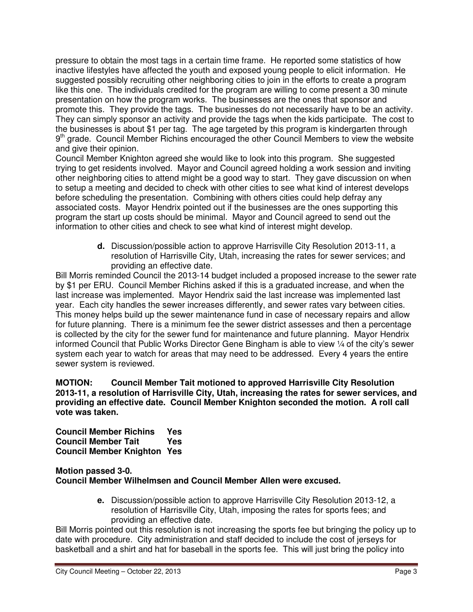pressure to obtain the most tags in a certain time frame. He reported some statistics of how inactive lifestyles have affected the youth and exposed young people to elicit information. He suggested possibly recruiting other neighboring cities to join in the efforts to create a program like this one. The individuals credited for the program are willing to come present a 30 minute presentation on how the program works. The businesses are the ones that sponsor and promote this. They provide the tags. The businesses do not necessarily have to be an activity. They can simply sponsor an activity and provide the tags when the kids participate. The cost to the businesses is about \$1 per tag. The age targeted by this program is kindergarten through 9<sup>th</sup> grade. Council Member Richins encouraged the other Council Members to view the website and give their opinion.

Council Member Knighton agreed she would like to look into this program. She suggested trying to get residents involved. Mayor and Council agreed holding a work session and inviting other neighboring cities to attend might be a good way to start. They gave discussion on when to setup a meeting and decided to check with other cities to see what kind of interest develops before scheduling the presentation. Combining with others cities could help defray any associated costs. Mayor Hendrix pointed out if the businesses are the ones supporting this program the start up costs should be minimal. Mayor and Council agreed to send out the information to other cities and check to see what kind of interest might develop.

> **d.** Discussion/possible action to approve Harrisville City Resolution 2013-11, a resolution of Harrisville City, Utah, increasing the rates for sewer services; and providing an effective date.

Bill Morris reminded Council the 2013-14 budget included a proposed increase to the sewer rate by \$1 per ERU. Council Member Richins asked if this is a graduated increase, and when the last increase was implemented. Mayor Hendrix said the last increase was implemented last year. Each city handles the sewer increases differently, and sewer rates vary between cities. This money helps build up the sewer maintenance fund in case of necessary repairs and allow for future planning. There is a minimum fee the sewer district assesses and then a percentage is collected by the city for the sewer fund for maintenance and future planning. Mayor Hendrix informed Council that Public Works Director Gene Bingham is able to view ¼ of the city's sewer system each year to watch for areas that may need to be addressed. Every 4 years the entire sewer system is reviewed.

**MOTION: Council Member Tait motioned to approved Harrisville City Resolution 2013-11, a resolution of Harrisville City, Utah, increasing the rates for sewer services, and providing an effective date. Council Member Knighton seconded the motion. A roll call vote was taken.** 

**Council Member Richins Yes Council Member Tait Yes Council Member Knighton Yes** 

## **Motion passed 3-0. Council Member Wilhelmsen and Council Member Allen were excused.**

**e.** Discussion/possible action to approve Harrisville City Resolution 2013-12, a resolution of Harrisville City, Utah, imposing the rates for sports fees; and providing an effective date.

Bill Morris pointed out this resolution is not increasing the sports fee but bringing the policy up to date with procedure. City administration and staff decided to include the cost of jerseys for basketball and a shirt and hat for baseball in the sports fee. This will just bring the policy into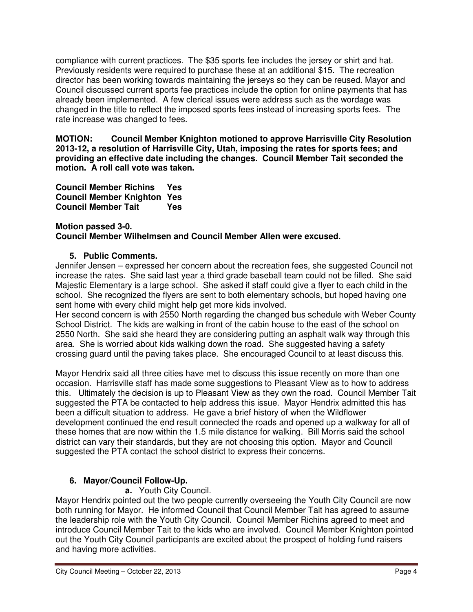compliance with current practices. The \$35 sports fee includes the jersey or shirt and hat. Previously residents were required to purchase these at an additional \$15. The recreation director has been working towards maintaining the jerseys so they can be reused. Mayor and Council discussed current sports fee practices include the option for online payments that has already been implemented. A few clerical issues were address such as the wordage was changed in the title to reflect the imposed sports fees instead of increasing sports fees. The rate increase was changed to fees.

**MOTION: Council Member Knighton motioned to approve Harrisville City Resolution 2013-12, a resolution of Harrisville City, Utah, imposing the rates for sports fees; and providing an effective date including the changes. Council Member Tait seconded the motion. A roll call vote was taken.** 

**Council Member Richins Yes Council Member Knighton Yes Council Member Tait Yes** 

#### **Motion passed 3-0. Council Member Wilhelmsen and Council Member Allen were excused.**

# **5. Public Comments.**

Jennifer Jensen – expressed her concern about the recreation fees, she suggested Council not increase the rates. She said last year a third grade baseball team could not be filled. She said Majestic Elementary is a large school. She asked if staff could give a flyer to each child in the school. She recognized the flyers are sent to both elementary schools, but hoped having one sent home with every child might help get more kids involved.

Her second concern is with 2550 North regarding the changed bus schedule with Weber County School District. The kids are walking in front of the cabin house to the east of the school on 2550 North. She said she heard they are considering putting an asphalt walk way through this area. She is worried about kids walking down the road. She suggested having a safety crossing guard until the paving takes place. She encouraged Council to at least discuss this.

Mayor Hendrix said all three cities have met to discuss this issue recently on more than one occasion. Harrisville staff has made some suggestions to Pleasant View as to how to address this. Ultimately the decision is up to Pleasant View as they own the road. Council Member Tait suggested the PTA be contacted to help address this issue. Mayor Hendrix admitted this has been a difficult situation to address. He gave a brief history of when the Wildflower development continued the end result connected the roads and opened up a walkway for all of these homes that are now within the 1.5 mile distance for walking. Bill Morris said the school district can vary their standards, but they are not choosing this option. Mayor and Council suggested the PTA contact the school district to express their concerns.

# **6. Mayor/Council Follow-Up.**

# **a.** Youth City Council.

Mayor Hendrix pointed out the two people currently overseeing the Youth City Council are now both running for Mayor. He informed Council that Council Member Tait has agreed to assume the leadership role with the Youth City Council. Council Member Richins agreed to meet and introduce Council Member Tait to the kids who are involved. Council Member Knighton pointed out the Youth City Council participants are excited about the prospect of holding fund raisers and having more activities.